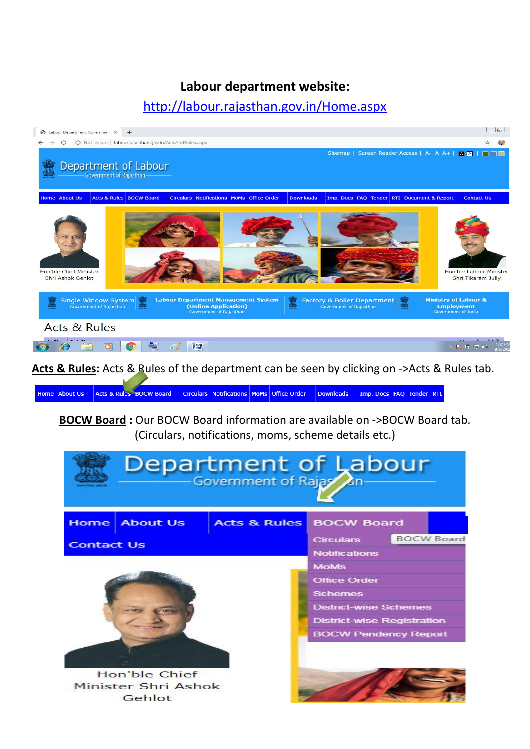## **Labour department website:**

## <http://labour.rajasthan.gov.in/Home.aspx>



**Acts & Rules:** Acts & Rules of the department can be seen by clicking on ->Acts & Rules tab.

Acts & Rules BOCW Board Circulars Notifications MoMs Office Order Downloads Imp. Docs FAQ Tender RTI Home About Us

**BOCW Board :** Our BOCW Board information are available on ->BOCW Board tab. (Circulars, notifications, moms, scheme details etc.)

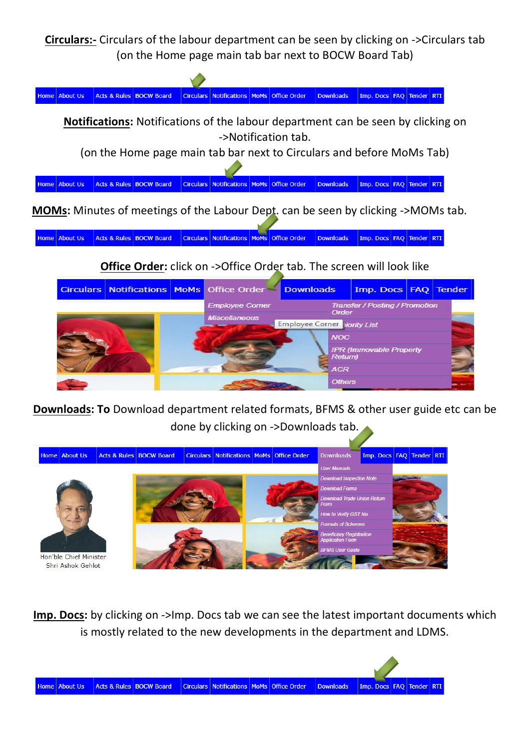**Circulars:-** Circulars of the labour department can be seen by clicking on ->Circulars tab (on the Home page main tab bar next to BOCW Board Tab)



Acts & Rules BOCW Board Circulars Notifications MoMs Office Order Downloads Imp. Docs FAQ Tender RTI Home About Us

**Office Order:** click on ->Office Order tab. The screen will look like



**Downloads: To** Download department related formats, BFMS & other user guide etc can be done by clicking on ->Downloads tab.



**Imp. Docs:** by clicking on ->Imp. Docs tab we can see the latest important documents which is mostly related to the new developments in the department and LDMS.